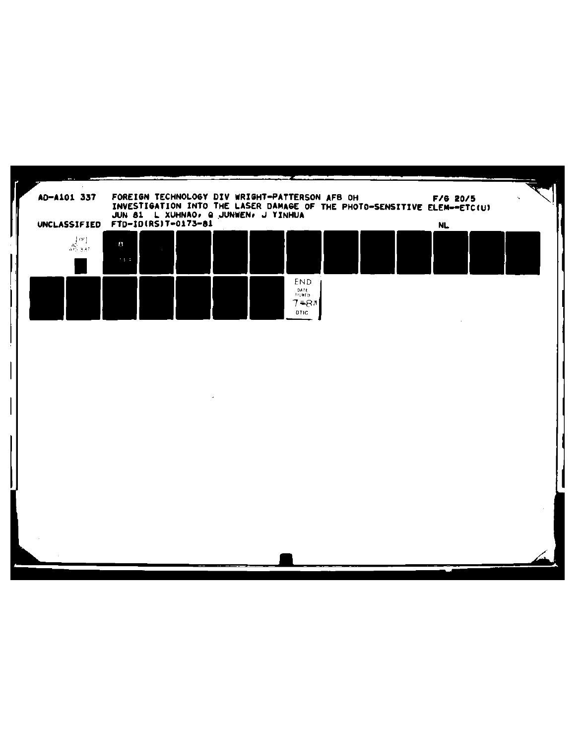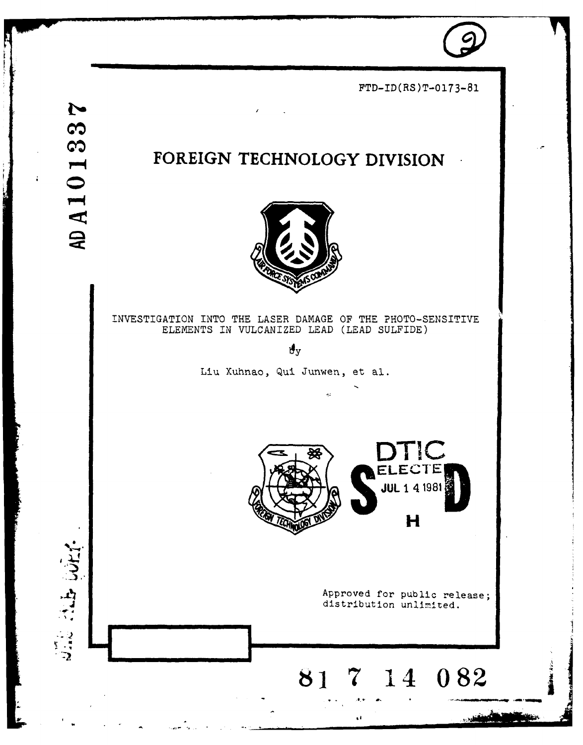

 $FTD-ID(RS)T-0173-81$ 

this couper

## FOREIGN TECHNOLOGY DIVISION



INVESTIGATION INTO THE LASER DAMAGE OF THE PHOTO-SENSITIVE ELEMENTS IN VULCANIZED LEAD (LEAD SULFIDE)

 $\mathbf{y}_y$ 

Liu Xuhnao, Qui Junwen, et al.



Approved for public release; distribution unlimited.

H

### 7 14 082 81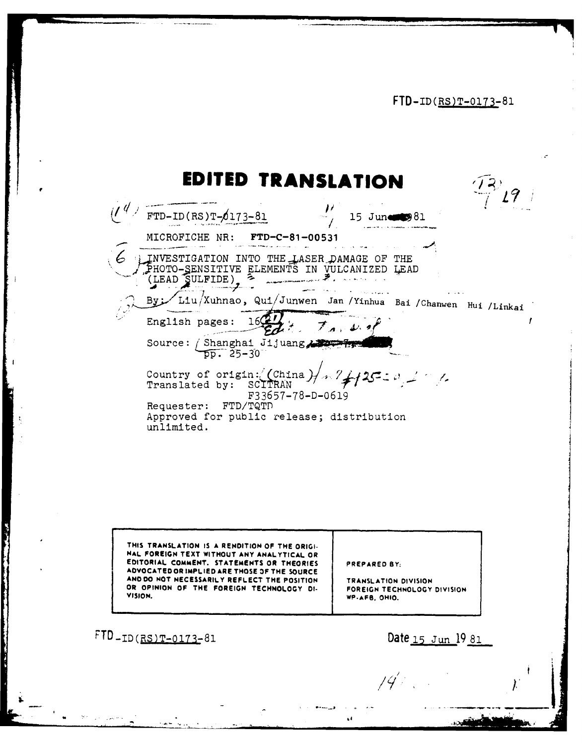FTD-ID(RS)T-0173-81

# **EDITED TRANSLATION**

| ITED TR/<br>ANSLATI                                                                                                  |  |
|----------------------------------------------------------------------------------------------------------------------|--|
| $FTD-ID(RS)T-\0173-81$<br>$15$ June                                                                                  |  |
| MICROFICHE NR:<br>FTD-C-81-00531                                                                                     |  |
| INVESTIGATION INTO THE LASER DAMAGE OF<br>THE<br>PHOTO-SENSITIVE ELEMENTS IN<br>LEAD<br>VULCANIZED<br>(LEAD SULFIDE) |  |
| Liu/Xuhnao, Qui/Junwen Jan/Yinhua Bai/Chanwen Hui/Linkai                                                             |  |
| 16922<br>English pages:                                                                                              |  |
| Source: / Shanghai Jijuang<br>$\overline{p}$ , 25–30                                                                 |  |
| $1 - 7 + 125 = 0$ , $1 - 7$ .<br>Country of origin: (China<br>SCITRAN<br>Translated by:<br>F33657-78-D-0619          |  |
| Requester: FTD/TQTD<br>Approved for public release; distribution<br>unlimited.                                       |  |

**THIS TRANSLATION IS A RENDITION OF THE ORIGI. HAL FOREIGN TEXT WITHOUT ANY ANALYTICAL OR EDITORIAL COMMENT. STATEMENTS OR THEORIES PREPARED BY: ADVOCATEDOR IMPLIED ARE THOSE OF THE SOURCE AND DO NOT NECESSARILY REFLECT THE POSITION TRANSLATION DIVISION OR OPINION OF THE FOREIGN TECHNOLOGY DI- FOREIGN TECHNOLOGY DIVISION VISION.** WE TERRIT TECHNOLOGY OF THE FOREIGN FECT.

**I ,**

 $\mathbf{C}$ 

FTD-ID(RS)T-0173-81 Date **15** Jun **19 81**

ł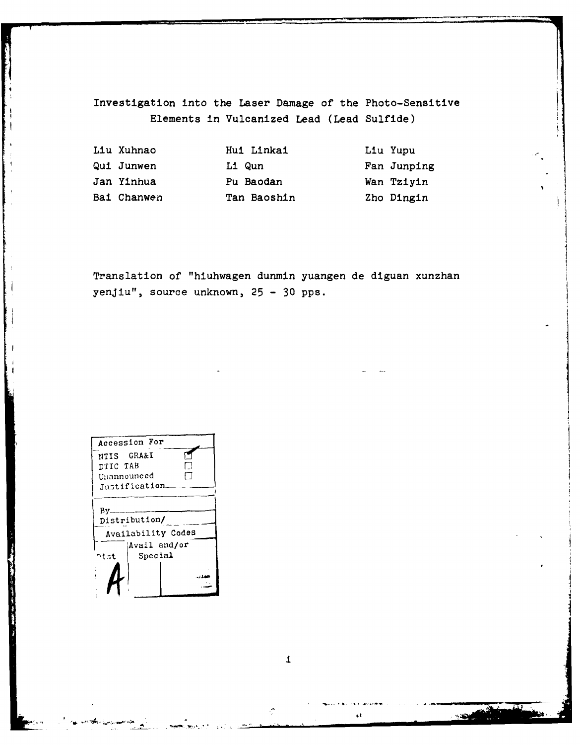Investigation into the Laser Damage of the Photo-Sensitive Elements in Vulcanized Lead (Lead Sulfide)

| Liu Xuhnao  | Hui Linkai  | Liu Yupu    |
|-------------|-------------|-------------|
| Qui Junwen  | Li Qun      | Fan Junping |
| Jan Yinhua  | Pu Baodan   | Wan Tziyin  |
| Bai Chanwen | Tan Baoshin | Zho Dingin  |

Translation of "hiuhwagen dunmin yuangen de diguan xunzhan yenjiu", source unknown, 25 - 30 pps.

| Accession For        |              |  |  |  |  |
|----------------------|--------------|--|--|--|--|
| NTIS GRA&I           |              |  |  |  |  |
| DTIC TAB             |              |  |  |  |  |
| Unannounced          |              |  |  |  |  |
| Justification        |              |  |  |  |  |
| By.<br>Distribution/ |              |  |  |  |  |
| Availability Codes   |              |  |  |  |  |
|                      | Avail and/or |  |  |  |  |
| つもさむ                 | Special      |  |  |  |  |
|                      |              |  |  |  |  |

 $\perp$ 

 $\mathbf{t}$ 

Ċ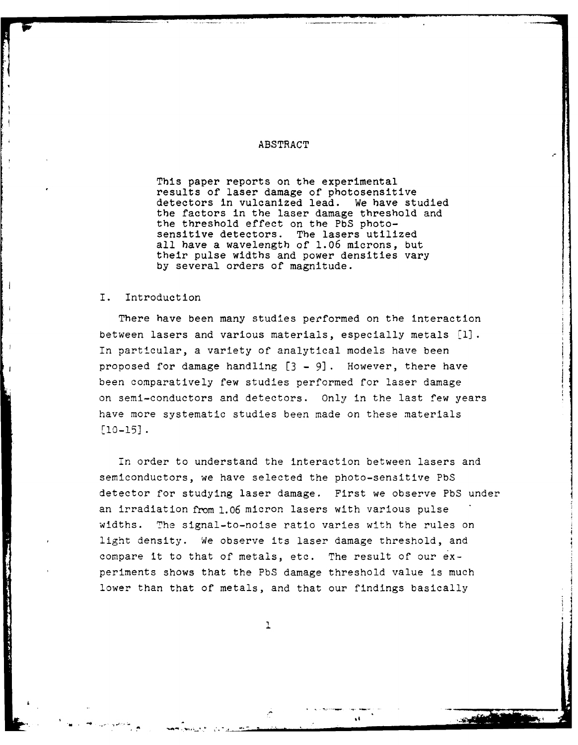#### ABSTRACT

This paper reports on the experimental results of laser damage of photosensitive detectors in vulcanized lead. We have studied the factors in the laser damage threshold and the threshold effect on the **PbS** photosensitive detectors. all have a wavelength of **1.06** microns, but their pulse widths and power densities vary **by** several orders of magnitude.

#### I. Introduction

There have been many studies performed on the interaction between lasers and various materials, especially metals **[1l.** In particular, a variety of analytical models have been proposed for damage handling **[3 -9].** However, there have been comparatively few studies performed for laser damage on semi-conductors and detectors. Only in the last few years have more systematic studies been made on these materials [10-15].

In order to understand the interaction between lasers and semiconductors, we have selected the photo-sensitive **PbS** detector for studying laser damage. First we observe **PbS** under an irradiation from **1.06** micron lasers with various pulse widths. The signal-to-noise ratio varies with the rules on light density. We observe its laser damage threshold, and compare it to that of metals, etc. The result of our experiments shows that the **PbS** damage threshold value is much lower than that of metals, and that our findings basically

 $\mathbf 1$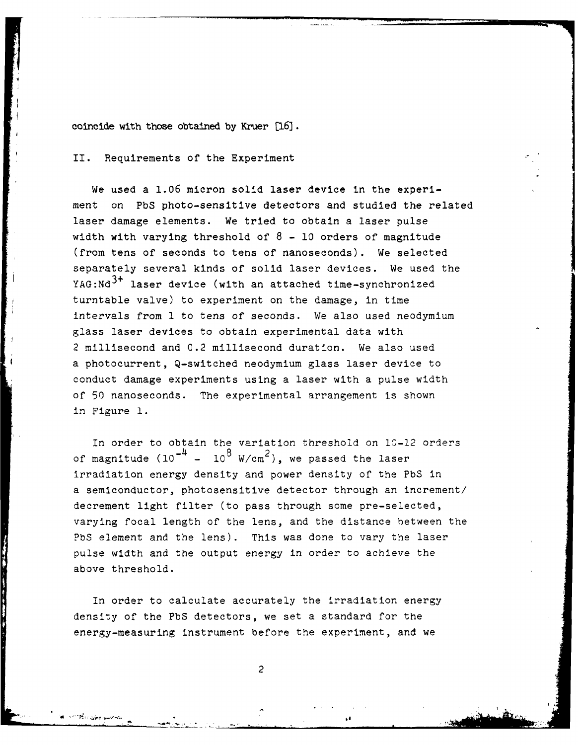coincide with those obtained **by** Kruer **[16].**

II. Requirements of the Experiment

We used a **1.06** micron solid laser device in the experiment on **PbS** photo-sensitive detectors and studied the related laser damage elements. We tried to obtain a laser pulse width with varying threshold of **8 - 10** orders of' magnitude (from tens of seconds to tens of nanoseconds). We selected separately several kinds of solid laser devices. We used the **YAG:Nd3+** laser device (with an attached time-synchronized turntable valve) to experiment on the damage, in time intervals from **1** to tens of seconds. We also used neodymium glass laser devices to obtain experimental data with 2 millisecond and 0.2 millisecond duration. We also used a photocurrent, Q-switched neodymium glass laser device to conduct damage experiments using a laser with a pulse width of **50** nanoseconds. The experimental arrangement is shown in Figure **1.**

In order to obtain the variation threshold on 10-12 orders of magnitude  $(10^{-4} - 10^{8} \text{ W/cm}^2)$ , we passed the laser irradiation energy density and power density of the **PbS** in a semiconductor, photosensitive detector through an increment/ decrement light filter (to pass through some pre-selected, varying focal length of the lens, and the distance between the **PbS** element and the lens). This was done to vary the laser pulse width and the output energy in order to achieve the above threshold.

In order to calculate accurately the irradiation energy density of the **PbS** detectors, we set a standard for the energy-measuring instrument before the experiment, and we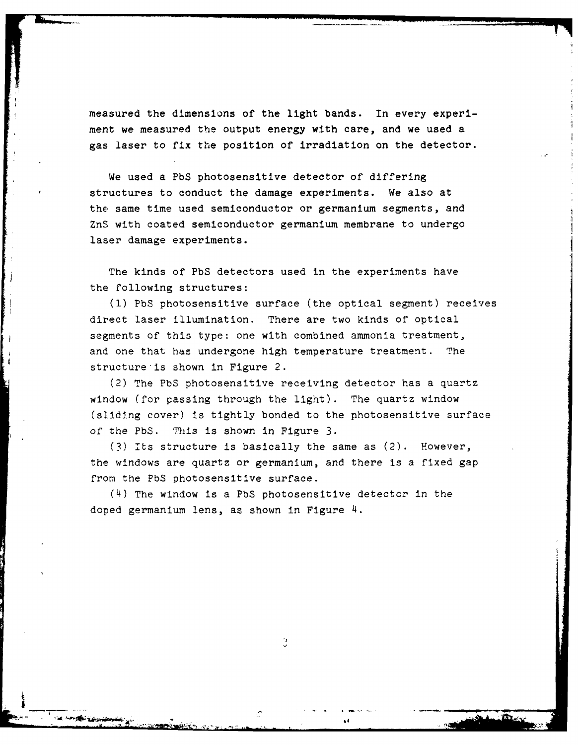measured the dimensions of the light bands. In every experiment we measured the output energy with care, and we used a gas laser to fix the position of irradiation on the detector.

We used a PbS photosensitive detector of differing structures to conduct the damage experiments. We also at the same time used semiconductor or germanium segments, and ZnS with coated semiconductor germanium membrane to undergo laser damage experiments.

The kinds of PbS detectors used in the experiments have the following structures:

(1) PbS photosensitive surface (the optical segment) receives direct laser illumination. There are two kinds of optical segments of this type: one with combined ammonia treatment, and one that has undergone high temperature treatment. The structure is shown in Figure 2.

(2) The PbS photosensitive receiving detector has a quartz window (for passing through the light). The quartz window (sliding cover) is tightly bonded to the photosensitive surface of the PbS. This is shown in Figure 3.

(3) Its structure is basically the same as (2). However, the windows are quartz or germanium, and there is a fixed gap from the PbS photosensitive surface.

(4) The window is a PbS photosensitive detector in the doped germanium lens, as shown in Figure 4.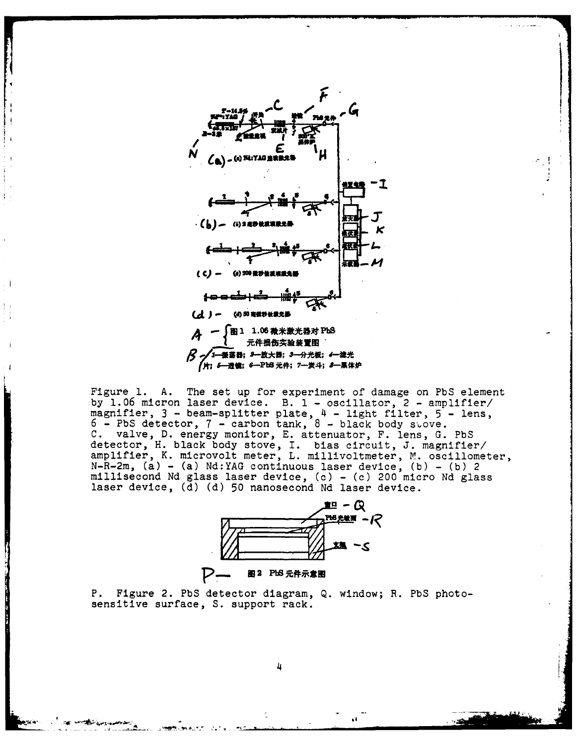

Figure 1. A. The set up for experiment of damage on PbS element<br>by 1.06 micron laser device. B. 1 - oscillator, 2 - amplifier/ magnifier, 3 - beam-splitter plate, 4 - light filter, 5 - lens,<br>6 - PbS detector, 7 - carbon tank, 8 - black body stove.<br>C. valve, D. energy monitor, E. attenuator, F. lens, G. PbS detector, H. black body stove, I. bias circuit, J. magnifier/<br>amplifier, K. microvolt meter, L. millivoltmeter, M. oscillometer,  $N-R-2m$ , (a) - (a) Nd: YAG continuous laser device, (b) - (b) 2 millisecond Nd glass laser device, (c) - (c) 200 micro Nd glass laser device, (d) (d) 50 nanosecond Nd laser device.



P. Figure 2. PbS detector diagram, Q. window; R. PbS photosensitive surface, S. support rack.

Ц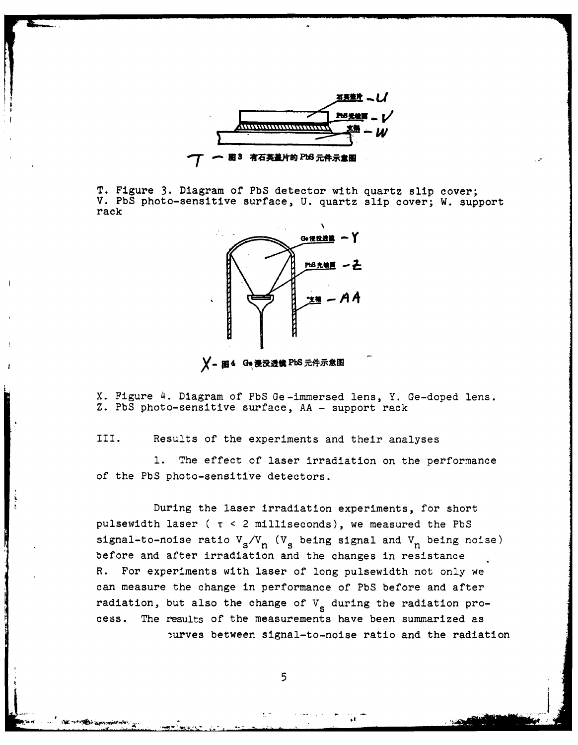

T. Figure 3. Diagram of PbS detector with quartz slip cover; V. **PbS** photo-sensitive surface, U. quartz slip cover; W. support rack



**Y**-图4 Ge浸没透镜 PbS 元件示意图

X. Figure 4. Diagram of PbS Ge-immersed lens, Y. Ge-doped lens. Z. PbS photo-sensitive surface, AA - support rack

III. Results of the experiments and their analyses

1. The effect of laser irradiation on the performance of the PbS photo-sensitive detectors.

During the laser irradiation experiments, for short pulsewidth laser ( T **<** 2 milliseconds), we measured the PbS signal-to-noise ratio  $V_s/V_n$  ( $V_s$  being signal and  $V_n$  being noise) before and after irradiation and the changes in resistance R. For experiments with laser of long pulsewidth not only we can measure the change in performance of PbS before and after radiation, but also the change of V<sub>s</sub> during the radiation process. The results of the measurements have been summarized as iurves between signal-to-noise ratio and the radiation

5

s bi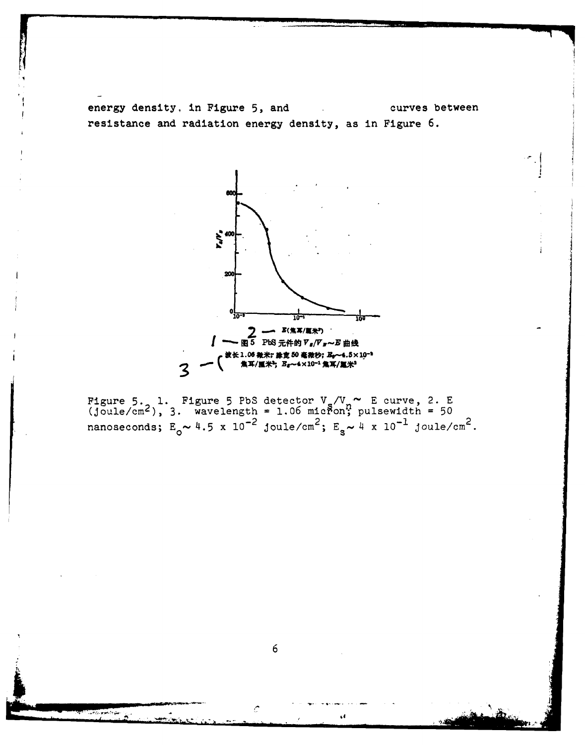energy density, in Figure 5, and curves between resistance and radiation energy density, as in Figure 6.



Figure 5. **1.** Figure 5 PbS detector V /V **E** curve, 2. E (Joule/cm2 ), 3. wavelength = 1.06 micfon; pulsewidth **=** 50 nanoseconds;  $E_0 \sim 4.5 \times 10^{-2}$  joule/cm<sup>2</sup>;  $E_s \sim 4 \times 10^{-1}$  joule/cm<sup>2</sup>.

**6**

٤ł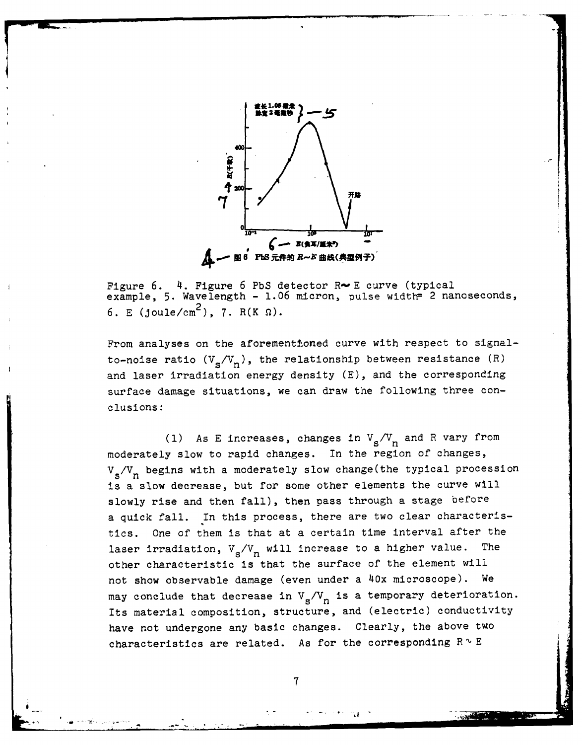

Figure 6. 4. Figure 6 PbS detector R~E curve (typical example, 5. Wavelength - 1.06 micron, pulse width= 2 nanoseconds, 6. E (joule/cm<sup>2</sup>), 7. R(K  $\Omega$ ).

From analyses on the aforementioned curve with respect to signalto-noise ratio  $(V_s/V_n)$ , the relationship between resistance  $(R)$ and laser irradiation energy density (E), and the corresponding surface damage situations, we can draw the following three conclusions:

(1) As E increases, changes in  $V_s/V_n$  and R vary from moderately slow to rapid changes. In the region of changes, V<sub>s</sub>/V<sub>n</sub> begins with a moderately slow change(the typical procession is a slow decrease, but for some other elements the curve will slowly rise and then fall), then pass through a stage before a quick fall. In this process, there are two clear characteristics. One of them is that at a certain time interval after the laser irradiation,  $V_g/V_n$  will increase to a higher value. The other characteristic is that the surface of the element will not show observable damage (even under a 40x microscope). We may conclude that decrease in  $V_s/V_n$  is a temporary deterioration. Its material composition, structure, and (electric) conductivity have not undergone any basic changes. Clearly, the above two characteristics are related. As for the corresponding  $R \sim E$ 

7

**ia**

.- - **,** . . ... \_ **\_** *.* . '. **".:**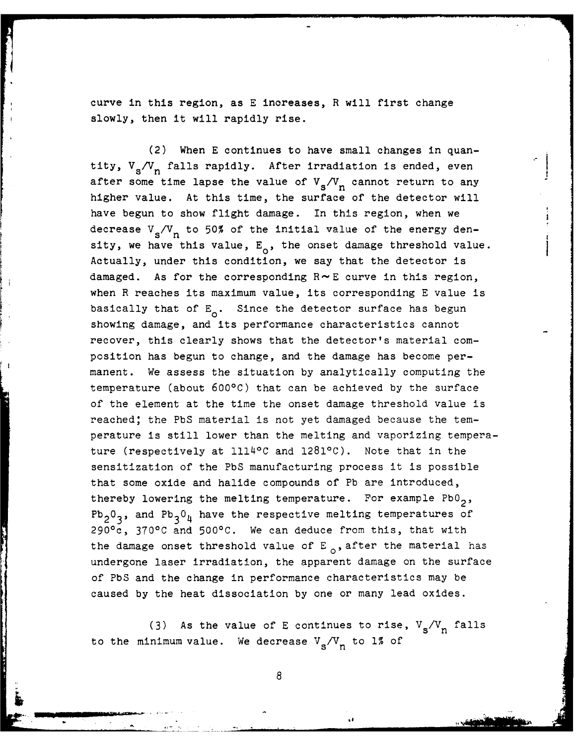curve in this region, as **E** increases, R will first change slowly, then it will rapidly rise.

(2) When **E** continues to have small changes in quantity,  $V_s/V_n$  falls rapidly. After irradiation is ended, even after some time lapse the value of  $V_s/V_n$  cannot return to any higher value. At this time, the surface of the detector will have begun to show flight damage. In this region, when we decrease  $V_s/V_n$  to 50% of the initial value of the energy density, we have this value,  $E_0$ , the onset damage threshold value. Actually, under this condition, we say that the detector is damaged. As for the corresponding R- **E** curve in this region, when R reaches its maximum value, its corresponding **E** value is basically that of E<sub>0</sub>. Since the detector surface has begun showing damage, and its performance characteristics cannot recover, this clearly shows that the detector's material composition has begun to change, and the damage has become permanent. We assess the situation **by** analytically computing the temperature (about **6000C)** that can be achieved **by** the surface of the element at the time the onset damage threshold value is reached; the **PbS** material is not yet damaged because the temperature is still lower than the melting and vaporizing temperature (respectively at 111J40C and **12810C).** Note that in the sensitization of the **PbS** manufacturing process it is possible that some oxide and halide compounds of **Pb** are introduced, thereby lowering the melting temperature. For example PbO<sub>2</sub>,  $Pb_2O_3$ , and  $Pb_3O_4$  have the respective melting temperatures of 290 0c, **370'C** and **500 0C.** We can deduce from this, that with the damage onset threshold value of  $E_{0}$ , after the material has undergone laser irradiation, the apparent damage on the surface of **PbS** and the change in performance characteristics may be caused **by** the heat dissociation **by** one or many lead oxides.

(3) As the value of E continues to rise,  $V_s/V_n$  falls to the minimum value. We decrease  $V_s/V_n$  to 1% of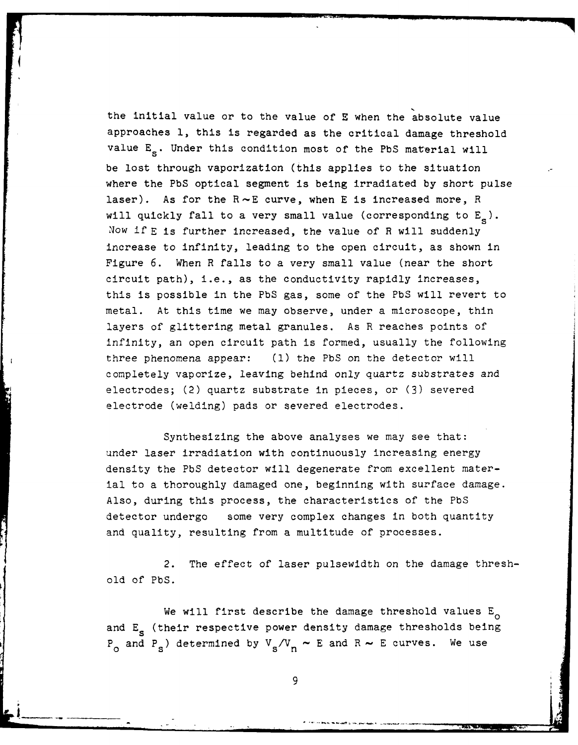the initial value or to the value of **E** when the absolute value approaches **1,** this is regarded as the critical damage threshold value E<sub>s</sub>. Under this condition most of the PbS material will be lost through vaporization (this applies to the situation where the **PbS** optical segment is being irradiated **by** short pulse laser). As for the **R--E** curve, when **E** is increased more, R will quickly fall to a very small value (corresponding to **E ).** Now if **E** is further increased, the value of R will suddenly increase to infinity, leading to the open circuit, as shown in Figure **6.** When R falls to a very small value (near the short circuit path), i.e., as the conductivity rapidly increases, this is possible in the **PbS** gas, some of the **PbS** will revert to metal. At this time we may observe, under a microscope, thin layers of glittering metal granules. As R reaches points of infinity, an open circuit path is formed, usually the following three phenomena appear: **(1)** the **PbS** on the detector will completely vaporize, leaving behind only quartz substrates and electrodes; (2) quartz substrate in pieces, or **(3)** severed electrode (welding) pads or severed electrodes.

Synthesizing the above analyses we may see that: under laser irradiation with continuously increasing energy density the **PbS** detector will degenerate from excellent material to a thoroughly damaged one, beginning with surface damage. Also, during this process, the characteristics of the **PbS** detector undergo some very complex changes in both quantity and quality, resulting from a multitude of processes.

2. The effect of laser pulsewidth on the damage threshold of **PbS.**

We will first describe the damage threshold values  $E_{\alpha}$ and E<sub>s</sub> (their respective power density damage thresholds being  $P_{\alpha}$  and  $P_{\beta}$ ) determined by  $V_{\beta}/V_{\gamma} \sim E$  and  $R \sim E$  curves. We use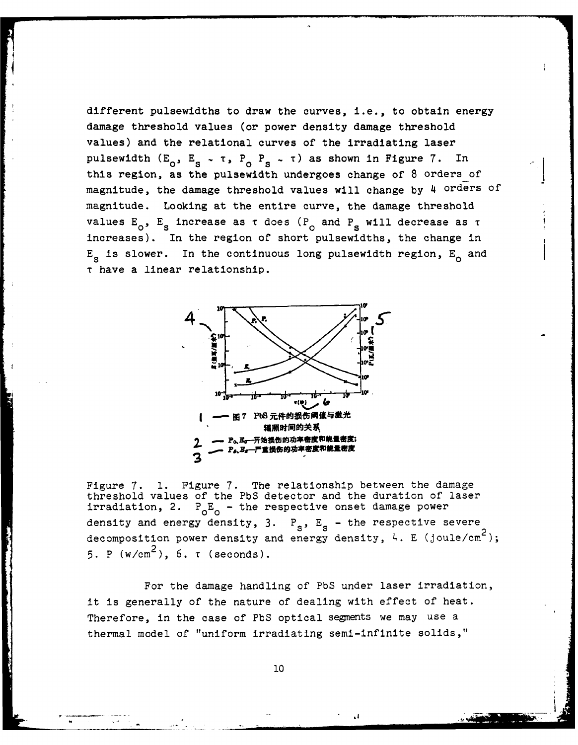different pulsewidths to draw the curves, i.e., to obtain energy damage threshold values (or power density damage threshold values) and the relational curves of the irradiating laser pulsewidth  $(E_0, E_s - \tau, P_0, P_s - \tau)$  as shown in Figure 7. In this region, as the pulsewidth undergoes change of **8** orders of' magnitude, the damage threshold values will change by 4 orders of magnitude. Looking at the entire curve, the damage threshold values E<sub>o</sub>, E<sub>s</sub> increase as τ does (P<sub>o</sub> and P<sub>s</sub> will decrease as τ increases). In the region of short pulsewidths, the change in **Es** is slower. In the continuous long pulsewidth region, **E0** and **T** have a linear relationship.



Figure **7. 1.** Figure **7.** The relationship between the damage threshold values of the PbS detector and the duration of laser irradiation, 2.  $P_0E_0$  - the respective onset damage power density and energy density, 3.  $P_s$ ,  $E_s$  - the respective severe decomposition power density and energy density, 4. **E** (joule/cm2), 5. P  $(w/cm^2)$ , 6.  $\tau$  (seconds).

For the damage handling of PbS under laser irradiation, it is generally of the nature of dealing with effect of heat. Therefore, in the case of PbS optical segments we may use a thermal model of "uniform irradiating semi-infinite solids,"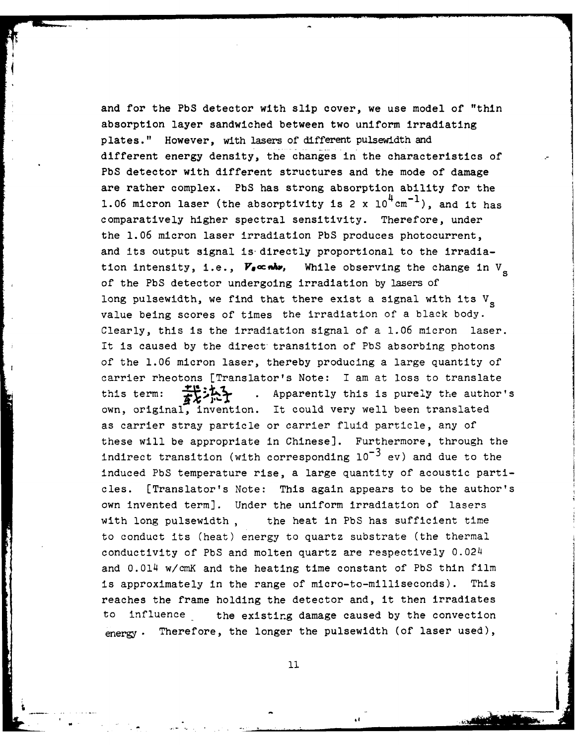and for the PbS detector with slip cover, we use model of "thin absorption layer sandwiched between two uniform irradiating plates." However, with lasers of different pulsewidth and different energy density, the changes in the characteristics of PbS detector with different structures and the mode of damage are rather complex. PbS has strong absorption ability for the 1.06 micron laser (the absorptivity is 2 x  $10^4 \text{cm}^{-1}$ ), and it has comparatively higher spectral sensitivity. Therefore, under the 1.06 micron laser irradiation PbS produces photocurrent, and its output signal is-directly proportional to the irradiation intensity, i.e.,  $V_{\bullet}$ ∝*nh*, While observing the change in V<sub>s</sub> of the PbS detector undergoing irradiation by lasers of long pulsewidth, we find that there exist a signal with its  $V_{\rm g}$ value being scores of times the irradiation of a black body. Clearly, this is the irradiation signal of a 1.06 micron laser. It is caused by the direct transition of PbS absorbing photons of the 1.06 micron laser, thereby producing a large quantity of carrier rheotons [Translator's Note: I am at loss to translate this term:  $\overrightarrow{H}$ : Apparently this is purely the author's own, original, invention. It could very well been translated as carrier stray particle or carrier fluid particle, any of these will be appropriate in Chinese]. Furthermore, through the indirect transition (with corresponding  $10^{-3}$  ev) and due to the induced PbS temperature rise, a large quantity of acoustic particles. [Translator's Note: This again appears to be the author's own invented term]. Under the uniform irradiation of lasers with long pulsewidth , the heat in PbS has sufficient time to conduct its (heat) energy to quartz substrate (the thermal conductivity of PbS and molten quartz are respectively 0.024 and 0.014 w/cmK and the heating time constant of PbS thin film is approximately in the range of micro-to-milliseconds). This reaches the frame holding the detector and, it then irradiates to influence the existing damage caused by the convection energy. Therefore, the longer the pulsewidth (of laser used),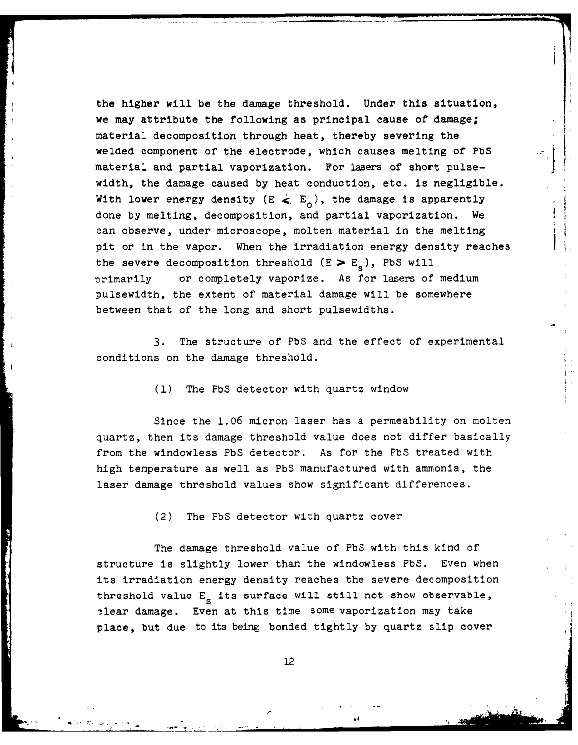the higher will be the damage threshold. Under this situation, we may attribute the following as principal cause of damage; material decomposition through heat, thereby severing the welded component of the electrode, which causes melting of PbS material and partial vaporization. For lasers of short pulsewidth, the damage caused by heat conduction, etc. is negligible. With lower energy density  $(E \leq E_0)$ , the damage is apparently done by melting, decomposition, and partial vaporization. We can observe, under microscope, molten material in the melting pit or in the vapor. When the irradiation energy density reaches the severe decomposition threshold  $(E \ge E_{\rm s})$ , PbS will Drimarily or completely vaporize. As for lasers of medium pulsewidth, the extent of material damage will be somewhere between that of the long and short pulsewidths.

3. The structure of PbS and the effect of experimental conditions on the damage threshold.

(1) The PbS detector with quartz window

Since the 1.06 micron laser has a permeability on molten quartz, then its damage threshold value does not differ basically from the windowless PbS detector. As for the PbS treated with high temperature as well as PbS manufactured with ammonia, the laser damage threshold values show significant differences.

(2) The PbS detector with quartz cover

The damage threshold value of PbS with this kind of structure is slightly lower than the windowless PbS. Even when its irradiation energy density reaches the severe decomposition threshold value E<sub>s</sub> its surface will still not show observable, clear damage. Even at this time some vaporization may take place, but due to its being bonded tightly by quartz slip cover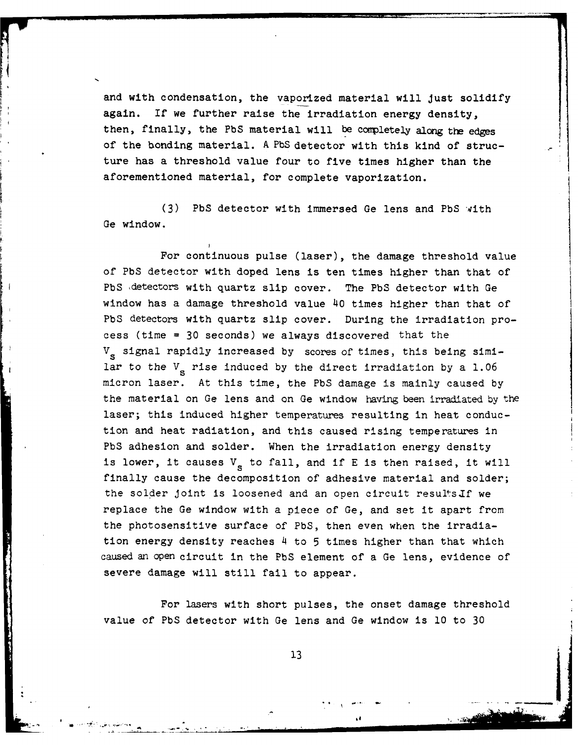and with condensation, the vaporized material will Just solidify again. If we further raise the irradiation energy density, then, finally, the **PbS** material will be conpletely along the edges of the bonding material. A PbS detector with this kind of structure has a threshold value four to five times higher than the aforementioned material, for complete vaporization.

(3) PbS detector with immersed Ge lens and PbS with Ge window.

For continuous pulse (laser), the damage threshold value of PbS detector with doped lens is ten times higher than that of PbS detectors with quartz slip cover. The PbS detector with Ge window has a damage threshold value 40 times higher than that of PbS detectors with quartz slip cover. During the irradiation process (time = 30 seconds) we always discovered that the V<sub>s</sub> signal rapidly increased by scores of times, this being similar to the  $V<sub>s</sub>$  rise induced by the direct irradiation by a 1.06 micron laser. At this time, the PbS damage is mainly caused by the material on Ge lens and on Ge window having been irradiated by the laser; this induced higher temperatures resulting in heat conduction and heat radiation, and this caused rising temperatures in PbS adhesion and solder. When the irradiation energy density is lower, it causes V<sub>g</sub> to fall, and if E is then raised, it will finally cause the decomposition of adhesive material and solder; the solder joint is loosened and an open circuit results If we replace the Ge window with a piece of Ge, and set it apart from the photosensitive surface of PbS, then even when the irradiation energy density reaches 4 to 5 times higher than that which caused an open circuit in the PbS element of a Ge lens, evidence of severe damage will still fail to appear.

For lasers with short pulses, the onset damage threshold value of PbS detector with Ge lens and Ge window is **10** to 30

I, *4*

**13**

**- .** . . . **•**

**... . . . . -\_ "**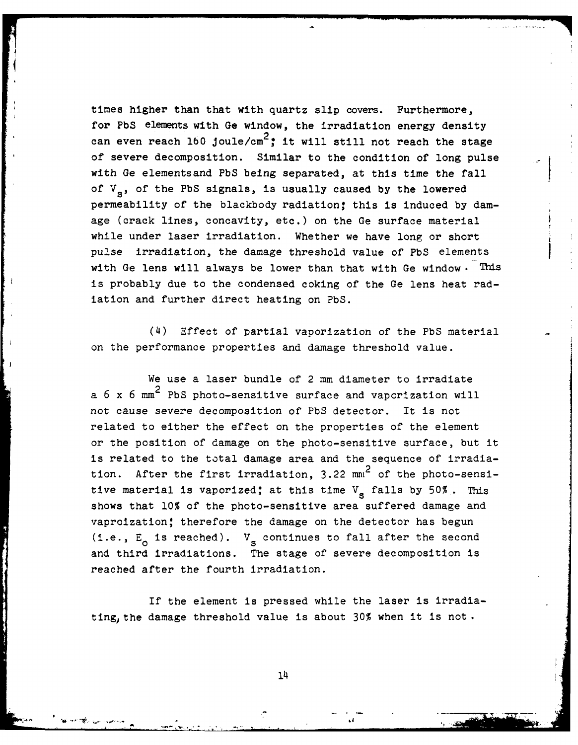times higher than that with quartz slip covers. Furthermore, for PbS elements with Ge window, the irradiation energy density can even reach 160 joule/cm<sup>2</sup>; it will still not reach the stage of severe decomposition. Similar to the condition of long pulse with Ge elementsand PbS being separated, at this time the fall of V<sub>s</sub>, of the PbS signals, is usually caused by the lowered permeability of the blackbody radiation; this is induced by damage (crack lines, concavity, etc.) on the Ge surface material while under laser irradiation. Whether we have long or short pulse irradiation, the damage threshold value of PbS elements with Ge lens will always be lower than that with Ge window. This is probably due to the condensed coking of the Ge lens heat radiation and further direct heating on PbS.

(4) Effect of partial vaporization of the PbS material on the performance properties and damage threshold value.

We use a laser bundle of 2 mm diameter to irradiate a  $6 \times 6 \text{ mm}^2$  PbS photo-sensitive surface and vaporization will not cause severe decomposition of PbS detector. It is not related to either the effect on the properties of the element or the position of damage on the photo-sensitive surface, but it is related to the total damage area and the sequence of irradiation. After the first irradiation,  $3.22$  mm<sup>2</sup> of the photo-sensitive material is vaporized; at this time  $V_s$  falls by 50%. This shows that 10% of the photo-sensitive area suffered damage and vaproization! therefore the damage on the detector has begun (i.e., E<sub>0</sub> is reached).  $V_s$  continues to fall after the second and third irradiations. The stage of severe decomposition is reached after the fourth irradiation.

If the element is pressed while the laser is irradiating, the damage threshold value is about  $30%$  when it is not.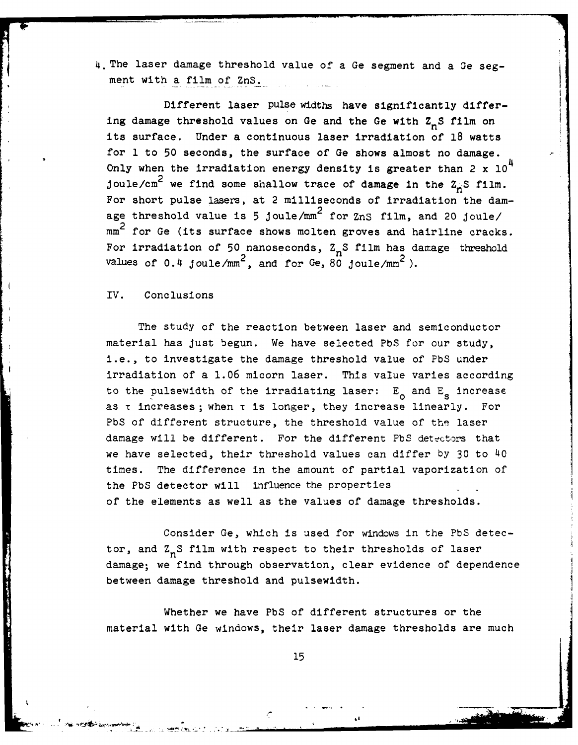4. The laser damage threshold value of a Ge segment and a Ge segment with a film of ZnS.

Different laser pulse widths have significantly differing damage threshold values on Ge and the Ge with  $Z_nS$  film on its surface. Under a continuous laser irradiation of 18 watts for 1 to 50 seconds, the surface of Ge shows almost no damage. Only when the irradiation energy density is greater than 2 x  $10<sup>4</sup>$ joule/cm<sup>2</sup> we find some shallow trace of damage in the  $z_n$ S film. For short pulse lasers, at 2 milliseconds of irradiation the damage threshold value is **5** joule/mm2 for ZnS film, and 20 joule/ mm<sup>2</sup> for Ge (its surface shows molten groves and hairline cracks. For irradiation of 50 nanoseconds,  $Z_nS$  film has damage threshold values of  $0.4$  joule/mm<sup>2</sup>, and for Ge, 80 joule/mm<sup>2</sup>).

#### IV. Conclusions

The study of the reaction between laser and semiconductor material has just begun. We have selected PbS for our study, i.e., to investigate the damage threshold value of PbS under irradiation of a 1.06 micorn laser. This value varies according to the pulsewidth of the irradiating laser:  $E_{\alpha}$  and  $E_{\alpha}$  increase as  $\tau$  increases; when  $\tau$  is longer, they increase linearly. For PbS of different structure, the threshold value of the laser damage will be different. For the different PbS detectors that we have selected, their threshold values can differ by 30 to 40 times. The difference in the amount of partial vaporization of the PbS detector will influence the properties of the elements as well as the values of damage thresholds.

Consider Ge, which is used for windows in the PbS detector, and  $Z_nS$  film with respect to their thresholds of laser damage; we find through observation, clear evidence of dependence between damage threshold and pulsewidth.

Whether we have PbS of different structures or the material with Ge windows, their laser damage thresholds are much